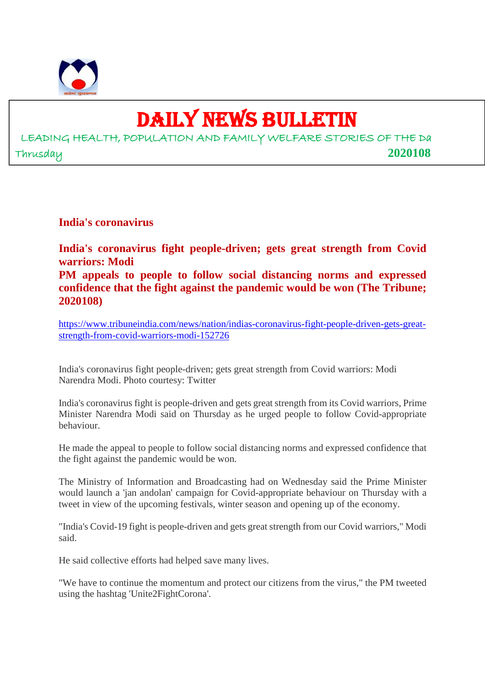

## DAILY NEWS BULLETIN

LEADING HEALTH, POPULATION AND FAMILY WELFARE STORIES OF THE Da Thrusday **2020108**

**India's coronavirus**

**India's coronavirus fight people-driven; gets great strength from Covid warriors: Modi PM appeals to people to follow social distancing norms and expressed confidence that the fight against the pandemic would be won (The Tribune; 2020108)**

https://www.tribuneindia.com/news/nation/indias-coronavirus-fight-people-driven-gets-greatstrength-from-covid-warriors-modi-152726

India's coronavirus fight people-driven; gets great strength from Covid warriors: Modi Narendra Modi. Photo courtesy: Twitter

India's coronavirus fight is people-driven and gets great strength from its Covid warriors, Prime Minister Narendra Modi said on Thursday as he urged people to follow Covid-appropriate behaviour.

He made the appeal to people to follow social distancing norms and expressed confidence that the fight against the pandemic would be won.

The Ministry of Information and Broadcasting had on Wednesday said the Prime Minister would launch a 'jan andolan' campaign for Covid-appropriate behaviour on Thursday with a tweet in view of the upcoming festivals, winter season and opening up of the economy.

"India's Covid-19 fight is people-driven and gets great strength from our Covid warriors," Modi said.

He said collective efforts had helped save many lives.

"We have to continue the momentum and protect our citizens from the virus," the PM tweeted using the hashtag 'Unite2FightCorona'.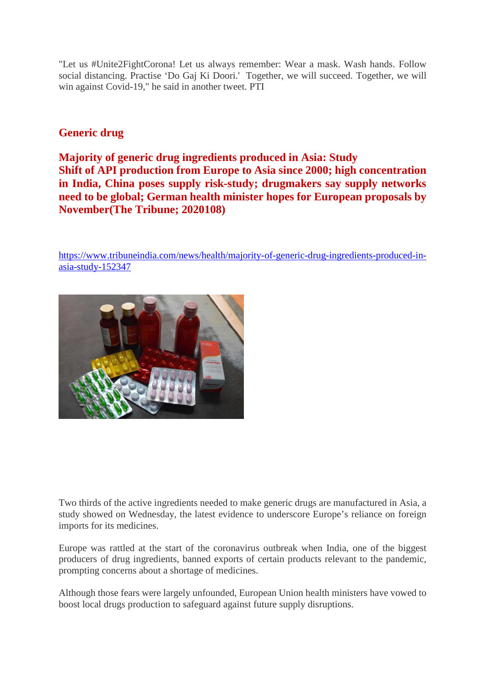"Let us #Unite2FightCorona! Let us always remember: Wear a mask. Wash hands. Follow social distancing. Practise 'Do Gaj Ki Doori.' Together, we will succeed. Together, we will win against Covid-19," he said in another tweet. PTI

### **Generic drug**

**Majority of generic drug ingredients produced in Asia: Study Shift of API production from Europe to Asia since 2000; high concentration in India, China poses supply risk-study; drugmakers say supply networks need to be global; German health minister hopes for European proposals by November(The Tribune; 2020108)**

https://www.tribuneindia.com/news/health/majority-of-generic-drug-ingredients-produced-inasia-study-152347



Two thirds of the active ingredients needed to make generic drugs are manufactured in Asia, a study showed on Wednesday, the latest evidence to underscore Europe's reliance on foreign imports for its medicines.

Europe was rattled at the start of the coronavirus outbreak when India, one of the biggest producers of drug ingredients, banned exports of certain products relevant to the pandemic, prompting concerns about a shortage of medicines.

Although those fears were largely unfounded, European Union health ministers have vowed to boost local drugs production to safeguard against future supply disruptions.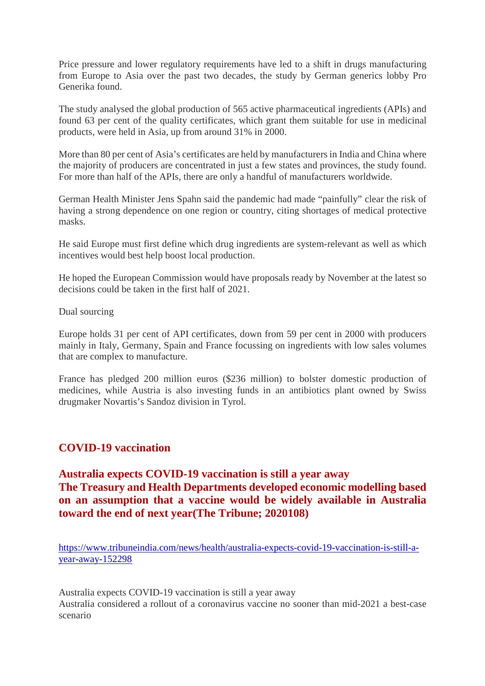Price pressure and lower regulatory requirements have led to a shift in drugs manufacturing from Europe to Asia over the past two decades, the study by German generics lobby Pro Generika found.

The study analysed the global production of 565 active pharmaceutical ingredients (APIs) and found 63 per cent of the quality certificates, which grant them suitable for use in medicinal products, were held in Asia, up from around 31% in 2000.

More than 80 per cent of Asia's certificates are held by manufacturers in India and China where the majority of producers are concentrated in just a few states and provinces, the study found. For more than half of the APIs, there are only a handful of manufacturers worldwide.

German Health Minister Jens Spahn said the pandemic had made "painfully" clear the risk of having a strong dependence on one region or country, citing shortages of medical protective masks.

He said Europe must first define which drug ingredients are system-relevant as well as which incentives would best help boost local production.

He hoped the European Commission would have proposals ready by November at the latest so decisions could be taken in the first half of 2021.

Dual sourcing

Europe holds 31 per cent of API certificates, down from 59 per cent in 2000 with producers mainly in Italy, Germany, Spain and France focussing on ingredients with low sales volumes that are complex to manufacture.

France has pledged 200 million euros (\$236 million) to bolster domestic production of medicines, while Austria is also investing funds in an antibiotics plant owned by Swiss drugmaker Novartis's Sandoz division in Tyrol.

#### **COVID-19 vaccination**

#### **Australia expects COVID-19 vaccination is still a year away The Treasury and Health Departments developed economic modelling based on an assumption that a vaccine would be widely available in Australia toward the end of next year(The Tribune; 2020108)**

https://www.tribuneindia.com/news/health/australia-expects-covid-19-vaccination-is-still-ayear-away-152298

Australia expects COVID-19 vaccination is still a year away Australia considered a rollout of a coronavirus vaccine no sooner than mid-2021 a best-case scenario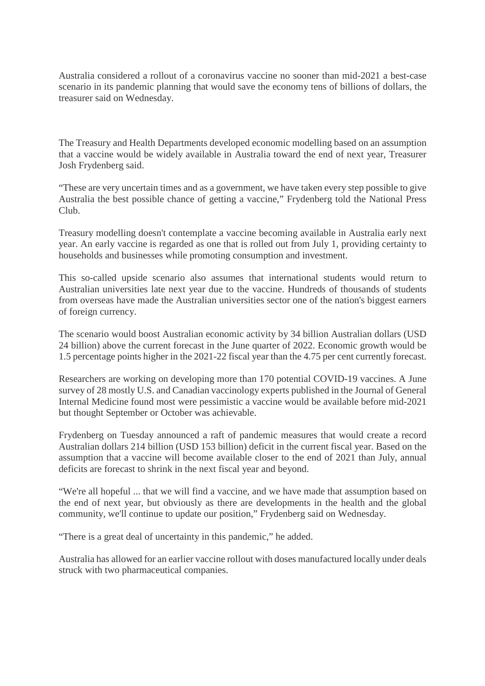Australia considered a rollout of a coronavirus vaccine no sooner than mid-2021 a best-case scenario in its pandemic planning that would save the economy tens of billions of dollars, the treasurer said on Wednesday.

The Treasury and Health Departments developed economic modelling based on an assumption that a vaccine would be widely available in Australia toward the end of next year, Treasurer Josh Frydenberg said.

"These are very uncertain times and as a government, we have taken every step possible to give Australia the best possible chance of getting a vaccine," Frydenberg told the National Press Club.

Treasury modelling doesn't contemplate a vaccine becoming available in Australia early next year. An early vaccine is regarded as one that is rolled out from July 1, providing certainty to households and businesses while promoting consumption and investment.

This so-called upside scenario also assumes that international students would return to Australian universities late next year due to the vaccine. Hundreds of thousands of students from overseas have made the Australian universities sector one of the nation's biggest earners of foreign currency.

The scenario would boost Australian economic activity by 34 billion Australian dollars (USD 24 billion) above the current forecast in the June quarter of 2022. Economic growth would be 1.5 percentage points higher in the 2021-22 fiscal year than the 4.75 per cent currently forecast.

Researchers are working on developing more than 170 potential COVID-19 vaccines. A June survey of 28 mostly U.S. and Canadian vaccinology experts published in the Journal of General Internal Medicine found most were pessimistic a vaccine would be available before mid-2021 but thought September or October was achievable.

Frydenberg on Tuesday announced a raft of pandemic measures that would create a record Australian dollars 214 billion (USD 153 billion) deficit in the current fiscal year. Based on the assumption that a vaccine will become available closer to the end of 2021 than July, annual deficits are forecast to shrink in the next fiscal year and beyond.

"We're all hopeful ... that we will find a vaccine, and we have made that assumption based on the end of next year, but obviously as there are developments in the health and the global community, we'll continue to update our position," Frydenberg said on Wednesday.

"There is a great deal of uncertainty in this pandemic," he added.

Australia has allowed for an earlier vaccine rollout with doses manufactured locally under deals struck with two pharmaceutical companies.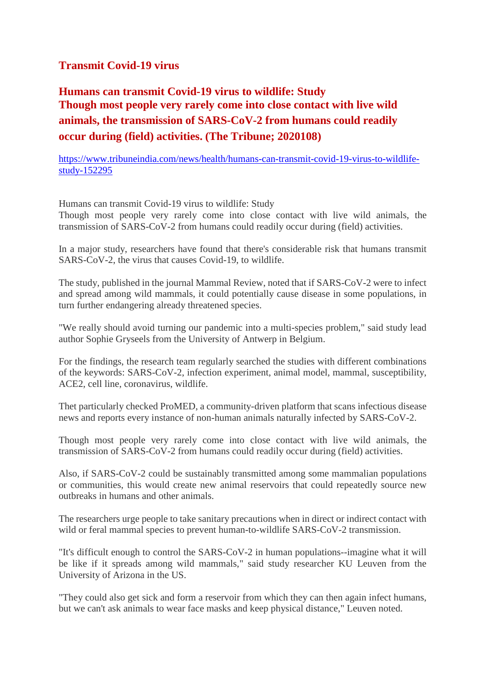#### **Transmit Covid-19 virus**

**Humans can transmit Covid-19 virus to wildlife: Study Though most people very rarely come into close contact with live wild animals, the transmission of SARS-CoV-2 from humans could readily occur during (field) activities. (The Tribune; 2020108)**

https://www.tribuneindia.com/news/health/humans-can-transmit-covid-19-virus-to-wildlifestudy-152295

Humans can transmit Covid-19 virus to wildlife: Study

Though most people very rarely come into close contact with live wild animals, the transmission of SARS-CoV-2 from humans could readily occur during (field) activities.

In a major study, researchers have found that there's considerable risk that humans transmit SARS-CoV-2, the virus that causes Covid-19, to wildlife.

The study, published in the journal Mammal Review, noted that if SARS-CoV-2 were to infect and spread among wild mammals, it could potentially cause disease in some populations, in turn further endangering already threatened species.

"We really should avoid turning our pandemic into a multi-species problem," said study lead author Sophie Gryseels from the University of Antwerp in Belgium.

For the findings, the research team regularly searched the studies with different combinations of the keywords: SARS-CoV-2, infection experiment, animal model, mammal, susceptibility, ACE2, cell line, coronavirus, wildlife.

Thet particularly checked ProMED, a community-driven platform that scans infectious disease news and reports every instance of non-human animals naturally infected by SARS-CoV-2.

Though most people very rarely come into close contact with live wild animals, the transmission of SARS-CoV-2 from humans could readily occur during (field) activities.

Also, if SARS-CoV-2 could be sustainably transmitted among some mammalian populations or communities, this would create new animal reservoirs that could repeatedly source new outbreaks in humans and other animals.

The researchers urge people to take sanitary precautions when in direct or indirect contact with wild or feral mammal species to prevent human-to-wildlife SARS-CoV-2 transmission.

"It's difficult enough to control the SARS-CoV-2 in human populations--imagine what it will be like if it spreads among wild mammals," said study researcher KU Leuven from the University of Arizona in the US.

"They could also get sick and form a reservoir from which they can then again infect humans, but we can't ask animals to wear face masks and keep physical distance," Leuven noted.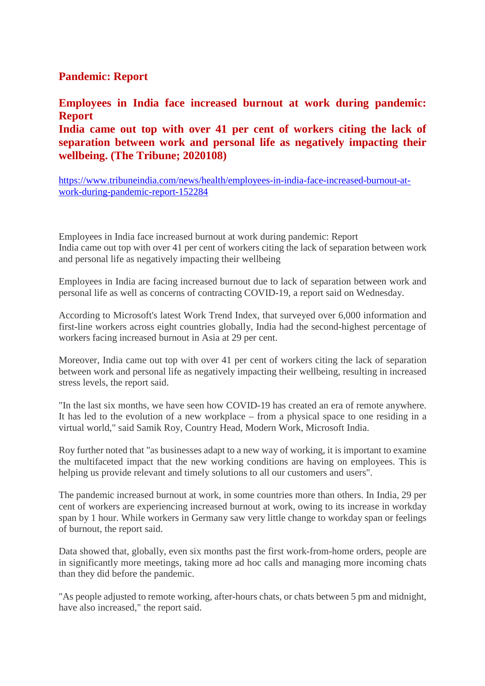#### **Pandemic: Report**

**Employees in India face increased burnout at work during pandemic: Report**

**India came out top with over 41 per cent of workers citing the lack of separation between work and personal life as negatively impacting their wellbeing. (The Tribune; 2020108)**

https://www.tribuneindia.com/news/health/employees-in-india-face-increased-burnout-atwork-during-pandemic-report-152284

Employees in India face increased burnout at work during pandemic: Report India came out top with over 41 per cent of workers citing the lack of separation between work and personal life as negatively impacting their wellbeing

Employees in India are facing increased burnout due to lack of separation between work and personal life as well as concerns of contracting COVID-19, a report said on Wednesday.

According to Microsoft's latest Work Trend Index, that surveyed over 6,000 information and first-line workers across eight countries globally, India had the second-highest percentage of workers facing increased burnout in Asia at 29 per cent.

Moreover, India came out top with over 41 per cent of workers citing the lack of separation between work and personal life as negatively impacting their wellbeing, resulting in increased stress levels, the report said.

"In the last six months, we have seen how COVID-19 has created an era of remote anywhere. It has led to the evolution of a new workplace – from a physical space to one residing in a virtual world," said Samik Roy, Country Head, Modern Work, Microsoft India.

Roy further noted that "as businesses adapt to a new way of working, it is important to examine the multifaceted impact that the new working conditions are having on employees. This is helping us provide relevant and timely solutions to all our customers and users".

The pandemic increased burnout at work, in some countries more than others. In India, 29 per cent of workers are experiencing increased burnout at work, owing to its increase in workday span by 1 hour. While workers in Germany saw very little change to workday span or feelings of burnout, the report said.

Data showed that, globally, even six months past the first work-from-home orders, people are in significantly more meetings, taking more ad hoc calls and managing more incoming chats than they did before the pandemic.

"As people adjusted to remote working, after-hours chats, or chats between 5 pm and midnight, have also increased," the report said.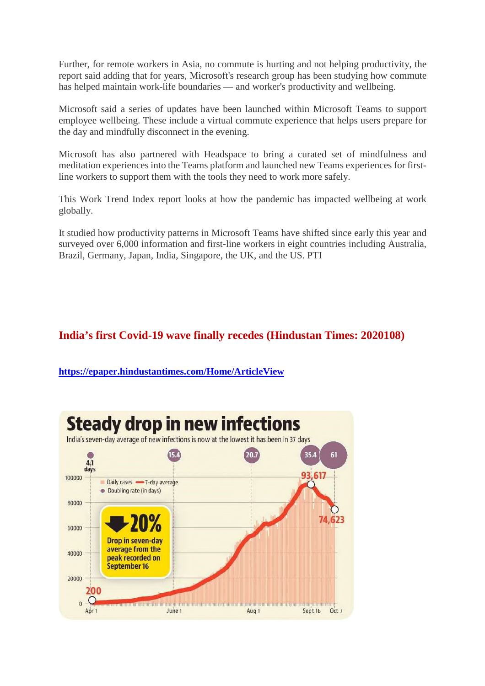Further, for remote workers in Asia, no commute is hurting and not helping productivity, the report said adding that for years, Microsoft's research group has been studying how commute has helped maintain work-life boundaries — and worker's productivity and wellbeing.

Microsoft said a series of updates have been launched within Microsoft Teams to support employee wellbeing. These include a virtual commute experience that helps users prepare for the day and mindfully disconnect in the evening.

Microsoft has also partnered with Headspace to bring a curated set of mindfulness and meditation experiences into the Teams platform and launched new Teams experiences for firstline workers to support them with the tools they need to work more safely.

This Work Trend Index report looks at how the pandemic has impacted wellbeing at work globally.

It studied how productivity patterns in Microsoft Teams have shifted since early this year and surveyed over 6,000 information and first-line workers in eight countries including Australia, Brazil, Germany, Japan, India, Singapore, the UK, and the US. PTI

## **India's first Covid-19 wave finally recedes (Hindustan Times: 2020108)**

**https://epaper.hindustantimes.com/Home/ArticleView**

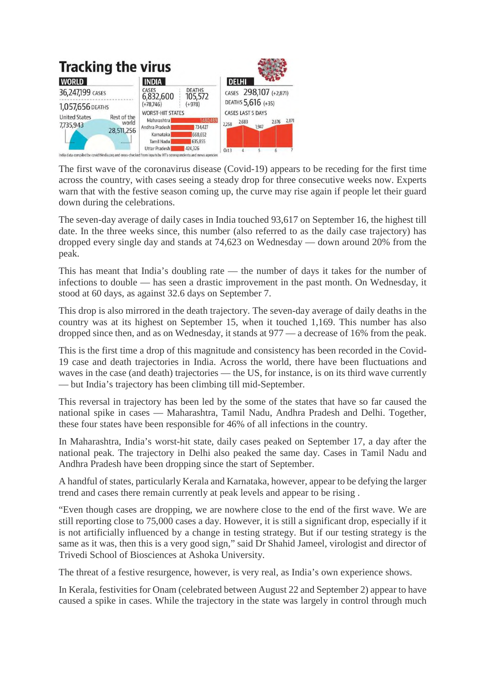

The first wave of the coronavirus disease (Covid-19) appears to be receding for the first time across the country, with cases seeing a steady drop for three consecutive weeks now. Experts warn that with the festive season coming up, the curve may rise again if people let their guard down during the celebrations.

The seven-day average of daily cases in India touched 93,617 on September 16, the highest till date. In the three weeks since, this number (also referred to as the daily case trajectory) has dropped every single day and stands at 74,623 on Wednesday — down around 20% from the peak.

This has meant that India's doubling rate — the number of days it takes for the number of infections to double — has seen a drastic improvement in the past month. On Wednesday, it stood at 60 days, as against 32.6 days on September 7.

This drop is also mirrored in the death trajectory. The seven-day average of daily deaths in the country was at its highest on September 15, when it touched 1,169. This number has also dropped since then, and as on Wednesday, it stands at 977 — a decrease of 16% from the peak.

This is the first time a drop of this magnitude and consistency has been recorded in the Covid-19 case and death trajectories in India. Across the world, there have been fluctuations and waves in the case (and death) trajectories — the US, for instance, is on its third wave currently — but India's trajectory has been climbing till mid-September.

This reversal in trajectory has been led by the some of the states that have so far caused the national spike in cases — Maharashtra, Tamil Nadu, Andhra Pradesh and Delhi. Together, these four states have been responsible for 46% of all infections in the country.

In Maharashtra, India's worst-hit state, daily cases peaked on September 17, a day after the national peak. The trajectory in Delhi also peaked the same day. Cases in Tamil Nadu and Andhra Pradesh have been dropping since the start of September.

A handful of states, particularly Kerala and Karnataka, however, appear to be defying the larger trend and cases there remain currently at peak levels and appear to be rising .

"Even though cases are dropping, we are nowhere close to the end of the first wave. We are still reporting close to 75,000 cases a day. However, it is still a significant drop, especially if it is not artificially influenced by a change in testing strategy. But if our testing strategy is the same as it was, then this is a very good sign," said Dr Shahid Jameel, virologist and director of Trivedi School of Biosciences at Ashoka University.

The threat of a festive resurgence, however, is very real, as India's own experience shows.

In Kerala, festivities for Onam (celebrated between August 22 and September 2) appear to have caused a spike in cases. While the trajectory in the state was largely in control through much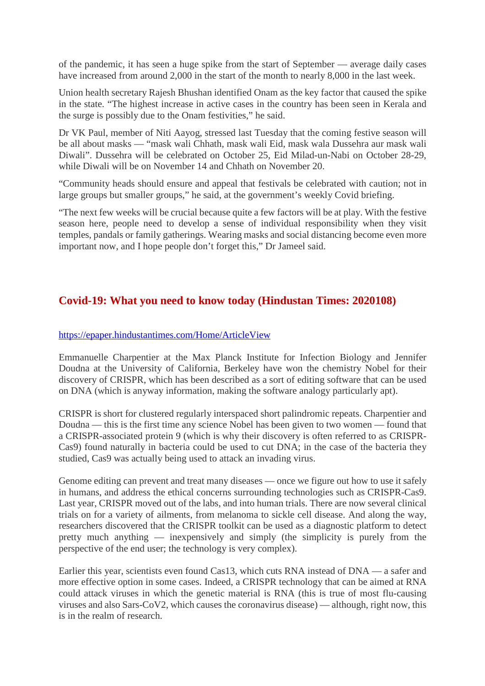of the pandemic, it has seen a huge spike from the start of September — average daily cases have increased from around 2,000 in the start of the month to nearly 8,000 in the last week.

Union health secretary Rajesh Bhushan identified Onam as the key factor that caused the spike in the state. "The highest increase in active cases in the country has been seen in Kerala and the surge is possibly due to the Onam festivities," he said.

Dr VK Paul, member of Niti Aayog, stressed last Tuesday that the coming festive season will be all about masks — "mask wali Chhath, mask wali Eid, mask wala Dussehra aur mask wali Diwali". Dussehra will be celebrated on October 25, Eid Milad-un-Nabi on October 28-29, while Diwali will be on November 14 and Chhath on November 20.

"Community heads should ensure and appeal that festivals be celebrated with caution; not in large groups but smaller groups," he said, at the government's weekly Covid briefing.

"The next few weeks will be crucial because quite a few factors will be at play. With the festive season here, people need to develop a sense of individual responsibility when they visit temples, pandals or family gatherings. Wearing masks and social distancing become even more important now, and I hope people don't forget this," Dr Jameel said.

#### **Covid-19: What you need to know today (Hindustan Times: 2020108)**

#### https://epaper.hindustantimes.com/Home/ArticleView

Emmanuelle Charpentier at the Max Planck Institute for Infection Biology and Jennifer Doudna at the University of California, Berkeley have won the chemistry Nobel for their discovery of CRISPR, which has been described as a sort of editing software that can be used on DNA (which is anyway information, making the software analogy particularly apt).

CRISPR is short for clustered regularly interspaced short palindromic repeats. Charpentier and Doudna — this is the first time any science Nobel has been given to two women — found that a CRISPR-associated protein 9 (which is why their discovery is often referred to as CRISPR-Cas9) found naturally in bacteria could be used to cut DNA; in the case of the bacteria they studied, Cas9 was actually being used to attack an invading virus.

Genome editing can prevent and treat many diseases — once we figure out how to use it safely in humans, and address the ethical concerns surrounding technologies such as CRISPR-Cas9. Last year, CRISPR moved out of the labs, and into human trials. There are now several clinical trials on for a variety of ailments, from melanoma to sickle cell disease. And along the way, researchers discovered that the CRISPR toolkit can be used as a diagnostic platform to detect pretty much anything — inexpensively and simply (the simplicity is purely from the perspective of the end user; the technology is very complex).

Earlier this year, scientists even found Cas13, which cuts RNA instead of DNA — a safer and more effective option in some cases. Indeed, a CRISPR technology that can be aimed at RNA could attack viruses in which the genetic material is RNA (this is true of most flu-causing viruses and also Sars-CoV2, which causes the coronavirus disease) — although, right now, this is in the realm of research.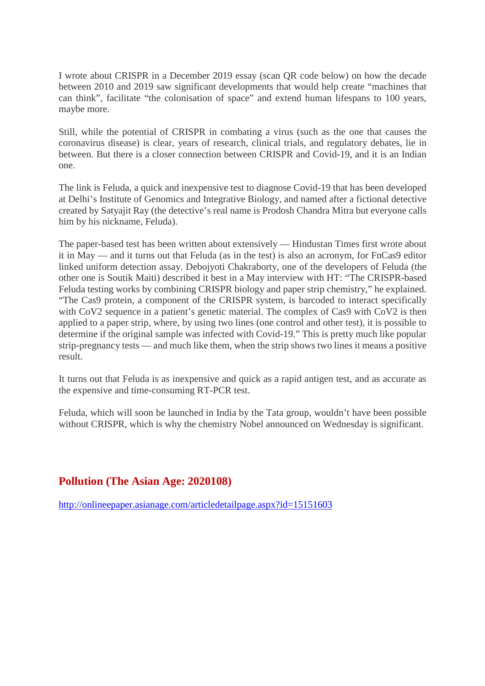I wrote about CRISPR in a December 2019 essay (scan QR code below) on how the decade between 2010 and 2019 saw significant developments that would help create "machines that can think", facilitate "the colonisation of space" and extend human lifespans to 100 years, maybe more.

Still, while the potential of CRISPR in combating a virus (such as the one that causes the coronavirus disease) is clear, years of research, clinical trials, and regulatory debates, lie in between. But there is a closer connection between CRISPR and Covid-19, and it is an Indian one.

The link is Feluda, a quick and inexpensive test to diagnose Covid-19 that has been developed at Delhi's Institute of Genomics and Integrative Biology, and named after a fictional detective created by Satyajit Ray (the detective's real name is Prodosh Chandra Mitra but everyone calls him by his nickname, Feluda).

The paper-based test has been written about extensively — Hindustan Times first wrote about it in May — and it turns out that Feluda (as in the test) is also an acronym, for FnCas9 editor linked uniform detection assay. Debojyoti Chakraborty, one of the developers of Feluda (the other one is Soutik Maiti) described it best in a May interview with HT: "The CRISPR-based Feluda testing works by combining CRISPR biology and paper strip chemistry," he explained. "The Cas9 protein, a component of the CRISPR system, is barcoded to interact specifically with CoV2 sequence in a patient's genetic material. The complex of Cas9 with CoV2 is then applied to a paper strip, where, by using two lines (one control and other test), it is possible to determine if the original sample was infected with Covid-19." This is pretty much like popular strip-pregnancy tests — and much like them, when the strip shows two lines it means a positive result.

It turns out that Feluda is as inexpensive and quick as a rapid antigen test, and as accurate as the expensive and time-consuming RT-PCR test.

Feluda, which will soon be launched in India by the Tata group, wouldn't have been possible without CRISPR, which is why the chemistry Nobel announced on Wednesday is significant.

#### **Pollution (The Asian Age: 2020108)**

http://onlineepaper.asianage.com/articledetailpage.aspx?id=15151603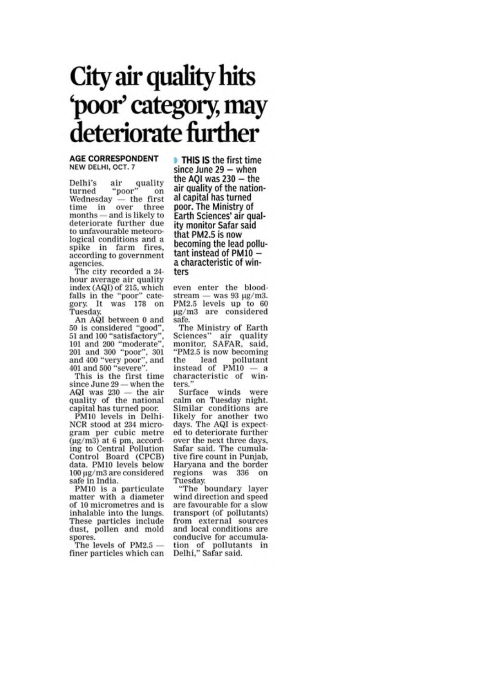# City air quality hits 'poor' category, may deteriorate further

#### **AGE CORRESPONDENT** NEW DELHI, OCT. 7

air quality<br>"poor" Delhi's air turned Wednesday  $-$  the first time in over three months - and is likely to deteriorate further due to unfavourable meteorological conditions and a spike in farm fires, according to government agencies.

The city recorded a 24hour average air quality index (AQI) of 215, which<br>falls in the "poor" category. It was 178 on Tuesday.

An AQI between 0 and 50 is considered "good",<br>51 and 100 "satisfactory", 101 and 200 "moderate" 201 and 300 "poor", 301<br>and 400 "very poor", and<br>401 and 500 "severe".

This is the first time since June 29 - when the AQI was 230 - the air quality of the national capital has turned poor.

PM10 levels in Delhi-NCR stood at 234 microgram per cubic metre  $(\mu$ g/m3) at 6 pm, according to Central Pollution Control Board (CPCB) data. PM10 levels below  $100 \,\mathrm{\mu g}/\mathrm{m}$ 3 are considered safe in India.

PM10 is a particulate matter with a diameter of 10 micrometres and is inhalable into the lungs. These particles include dust, pollen and mold spores.

The levels of  $PM2.5$ finer particles which can

**THIS IS the first time** since June  $29 -$  when the AQI was 230 - the air quality of the national capital has turned poor. The Ministry of Earth Sciences' air quality monitor Safar said that PM2.5 is now becoming the lead pollutant instead of PM10 a characteristic of winters

even enter the bloodstream  $-$  was 93  $\mu$ g/m3. PM2.5 levels up to 60 µg/m3 are considered safe.

The Ministry of Earth Sciences" air quality monitor, SAFAR, said, "PM2.5 is now becoming the lead pollutant<br>instead of PM10 - a characteristic of winters.'

Surface winds were calm on Tuesday night. Similar conditions are likely for another two<br>days. The AQI is expected to deteriorate further over the next three days, Safar said. The cumulative fire count in Punjab, Haryana and the border regions was 336 on Tuesday.

"The boundary layer wind direction and speed are favourable for a slow transport (of pollutants) from external sources and local conditions are conducive for accumulation of pollutants in<br>Delhi," Safar said.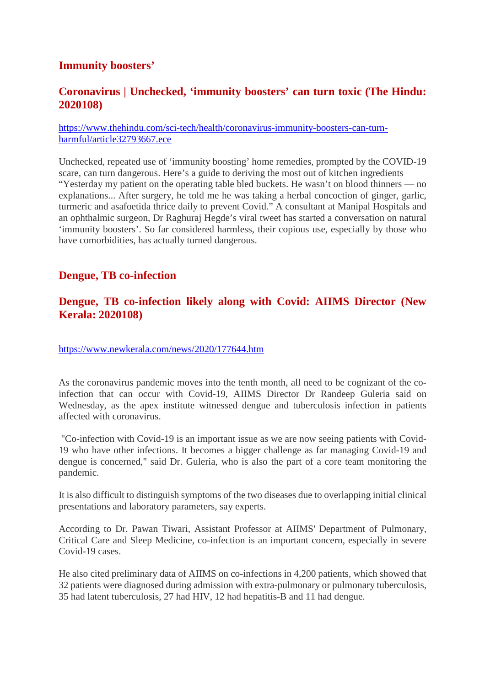#### **Immunity boosters'**

#### **Coronavirus | Unchecked, 'immunity boosters' can turn toxic (The Hindu: 2020108)**

#### https://www.thehindu.com/sci-tech/health/coronavirus-immunity-boosters-can-turnharmful/article32793667.ece

Unchecked, repeated use of 'immunity boosting' home remedies, prompted by the COVID-19 scare, can turn dangerous. Here's a guide to deriving the most out of kitchen ingredients "Yesterday my patient on the operating table bled buckets. He wasn't on blood thinners — no explanations... After surgery, he told me he was taking a herbal concoction of ginger, garlic, turmeric and asafoetida thrice daily to prevent Covid." A consultant at Manipal Hospitals and an ophthalmic surgeon, Dr Raghuraj Hegde's viral tweet has started a conversation on natural 'immunity boosters'. So far considered harmless, their copious use, especially by those who have comorbidities, has actually turned dangerous.

#### **Dengue, TB co-infection**

#### **Dengue, TB co-infection likely along with Covid: AIIMS Director (New Kerala: 2020108)**

https://www.newkerala.com/news/2020/177644.htm

As the coronavirus pandemic moves into the tenth month, all need to be cognizant of the coinfection that can occur with Covid-19, AIIMS Director Dr Randeep Guleria said on Wednesday, as the apex institute witnessed dengue and tuberculosis infection in patients affected with coronavirus.

"Co-infection with Covid-19 is an important issue as we are now seeing patients with Covid-19 who have other infections. It becomes a bigger challenge as far managing Covid-19 and dengue is concerned," said Dr. Guleria, who is also the part of a core team monitoring the pandemic.

It is also difficult to distinguish symptoms of the two diseases due to overlapping initial clinical presentations and laboratory parameters, say experts.

According to Dr. Pawan Tiwari, Assistant Professor at AIIMS' Department of Pulmonary, Critical Care and Sleep Medicine, co-infection is an important concern, especially in severe Covid-19 cases.

He also cited preliminary data of AIIMS on co-infections in 4,200 patients, which showed that 32 patients were diagnosed during admission with extra-pulmonary or pulmonary tuberculosis, 35 had latent tuberculosis, 27 had HIV, 12 had hepatitis-B and 11 had dengue.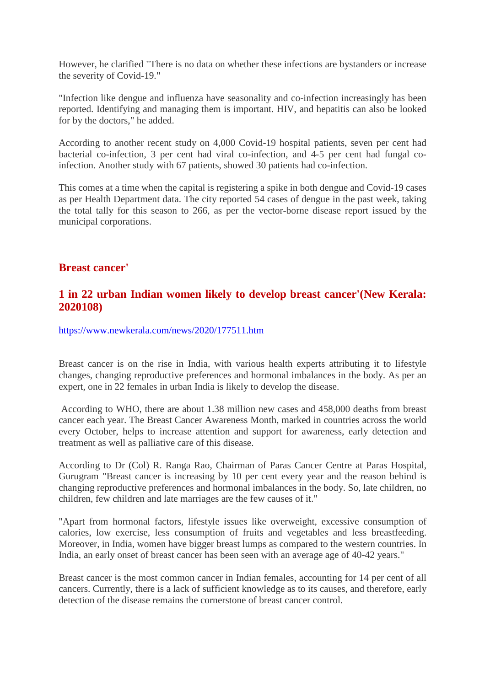However, he clarified "There is no data on whether these infections are bystanders or increase the severity of Covid-19."

"Infection like dengue and influenza have seasonality and co-infection increasingly has been reported. Identifying and managing them is important. HIV, and hepatitis can also be looked for by the doctors," he added.

According to another recent study on 4,000 Covid-19 hospital patients, seven per cent had bacterial co-infection, 3 per cent had viral co-infection, and 4-5 per cent had fungal coinfection. Another study with 67 patients, showed 30 patients had co-infection.

This comes at a time when the capital is registering a spike in both dengue and Covid-19 cases as per Health Department data. The city reported 54 cases of dengue in the past week, taking the total tally for this season to 266, as per the vector-borne disease report issued by the municipal corporations.

#### **Breast cancer'**

#### **1 in 22 urban Indian women likely to develop breast cancer'(New Kerala: 2020108)**

https://www.newkerala.com/news/2020/177511.htm

Breast cancer is on the rise in India, with various health experts attributing it to lifestyle changes, changing reproductive preferences and hormonal imbalances in the body. As per an expert, one in 22 females in urban India is likely to develop the disease.

According to WHO, there are about 1.38 million new cases and 458,000 deaths from breast cancer each year. The Breast Cancer Awareness Month, marked in countries across the world every October, helps to increase attention and support for awareness, early detection and treatment as well as palliative care of this disease.

According to Dr (Col) R. Ranga Rao, Chairman of Paras Cancer Centre at Paras Hospital, Gurugram "Breast cancer is increasing by 10 per cent every year and the reason behind is changing reproductive preferences and hormonal imbalances in the body. So, late children, no children, few children and late marriages are the few causes of it."

"Apart from hormonal factors, lifestyle issues like overweight, excessive consumption of calories, low exercise, less consumption of fruits and vegetables and less breastfeeding. Moreover, in India, women have bigger breast lumps as compared to the western countries. In India, an early onset of breast cancer has been seen with an average age of 40-42 years."

Breast cancer is the most common cancer in Indian females, accounting for 14 per cent of all cancers. Currently, there is a lack of sufficient knowledge as to its causes, and therefore, early detection of the disease remains the cornerstone of breast cancer control.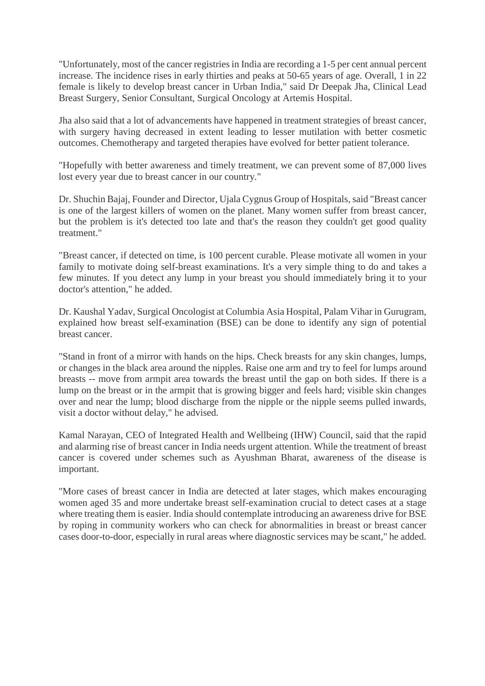"Unfortunately, most of the cancer registries in India are recording a 1-5 per cent annual percent increase. The incidence rises in early thirties and peaks at 50-65 years of age. Overall, 1 in 22 female is likely to develop breast cancer in Urban India," said Dr Deepak Jha, Clinical Lead Breast Surgery, Senior Consultant, Surgical Oncology at Artemis Hospital.

Jha also said that a lot of advancements have happened in treatment strategies of breast cancer, with surgery having decreased in extent leading to lesser mutilation with better cosmetic outcomes. Chemotherapy and targeted therapies have evolved for better patient tolerance.

"Hopefully with better awareness and timely treatment, we can prevent some of 87,000 lives lost every year due to breast cancer in our country."

Dr. Shuchin Bajaj, Founder and Director, Ujala Cygnus Group of Hospitals, said "Breast cancer is one of the largest killers of women on the planet. Many women suffer from breast cancer, but the problem is it's detected too late and that's the reason they couldn't get good quality treatment."

"Breast cancer, if detected on time, is 100 percent curable. Please motivate all women in your family to motivate doing self-breast examinations. It's a very simple thing to do and takes a few minutes. If you detect any lump in your breast you should immediately bring it to your doctor's attention," he added.

Dr. Kaushal Yadav, Surgical Oncologist at Columbia Asia Hospital, Palam Vihar in Gurugram, explained how breast self-examination (BSE) can be done to identify any sign of potential breast cancer.

"Stand in front of a mirror with hands on the hips. Check breasts for any skin changes, lumps, or changes in the black area around the nipples. Raise one arm and try to feel for lumps around breasts -- move from armpit area towards the breast until the gap on both sides. If there is a lump on the breast or in the armpit that is growing bigger and feels hard; visible skin changes over and near the lump; blood discharge from the nipple or the nipple seems pulled inwards, visit a doctor without delay," he advised.

Kamal Narayan, CEO of Integrated Health and Wellbeing (IHW) Council, said that the rapid and alarming rise of breast cancer in India needs urgent attention. While the treatment of breast cancer is covered under schemes such as Ayushman Bharat, awareness of the disease is important.

"More cases of breast cancer in India are detected at later stages, which makes encouraging women aged 35 and more undertake breast self-examination crucial to detect cases at a stage where treating them is easier. India should contemplate introducing an awareness drive for BSE by roping in community workers who can check for abnormalities in breast or breast cancer cases door-to-door, especially in rural areas where diagnostic services may be scant," he added.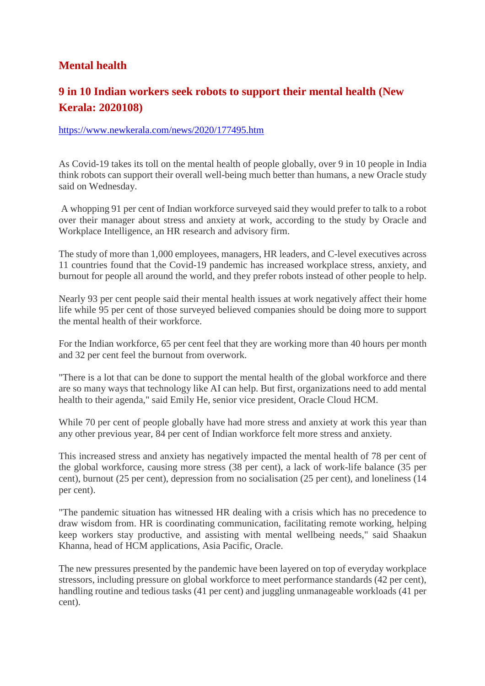## **Mental health**

## **9 in 10 Indian workers seek robots to support their mental health (New Kerala: 2020108)**

#### https://www.newkerala.com/news/2020/177495.htm

As Covid-19 takes its toll on the mental health of people globally, over 9 in 10 people in India think robots can support their overall well-being much better than humans, a new Oracle study said on Wednesday.

A whopping 91 per cent of Indian workforce surveyed said they would prefer to talk to a robot over their manager about stress and anxiety at work, according to the study by Oracle and Workplace Intelligence, an HR research and advisory firm.

The study of more than 1,000 employees, managers, HR leaders, and C-level executives across 11 countries found that the Covid-19 pandemic has increased workplace stress, anxiety, and burnout for people all around the world, and they prefer robots instead of other people to help.

Nearly 93 per cent people said their mental health issues at work negatively affect their home life while 95 per cent of those surveyed believed companies should be doing more to support the mental health of their workforce.

For the Indian workforce, 65 per cent feel that they are working more than 40 hours per month and 32 per cent feel the burnout from overwork.

"There is a lot that can be done to support the mental health of the global workforce and there are so many ways that technology like AI can help. But first, organizations need to add mental health to their agenda," said Emily He, senior vice president, Oracle Cloud HCM.

While 70 per cent of people globally have had more stress and anxiety at work this year than any other previous year, 84 per cent of Indian workforce felt more stress and anxiety.

This increased stress and anxiety has negatively impacted the mental health of 78 per cent of the global workforce, causing more stress (38 per cent), a lack of work-life balance (35 per cent), burnout (25 per cent), depression from no socialisation (25 per cent), and loneliness (14 per cent).

"The pandemic situation has witnessed HR dealing with a crisis which has no precedence to draw wisdom from. HR is coordinating communication, facilitating remote working, helping keep workers stay productive, and assisting with mental wellbeing needs," said Shaakun Khanna, head of HCM applications, Asia Pacific, Oracle.

The new pressures presented by the pandemic have been layered on top of everyday workplace stressors, including pressure on global workforce to meet performance standards (42 per cent), handling routine and tedious tasks (41 per cent) and juggling unmanageable workloads (41 per cent).